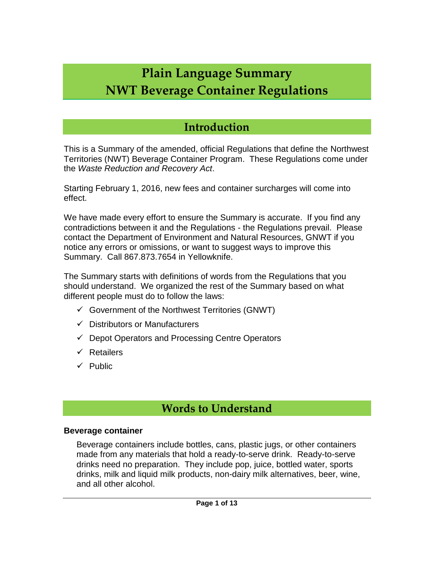# **Plain Language Summary NWT Beverage Container Regulations**

# **Introduction**

This is a Summary of the amended, official Regulations that define the Northwest Territories (NWT) Beverage Container Program. These Regulations come under the *Waste Reduction and Recovery Act*.

Starting February 1, 2016, new fees and container surcharges will come into effect.

We have made every effort to ensure the Summary is accurate. If you find any contradictions between it and the Regulations - the Regulations prevail. Please contact the Department of Environment and Natural Resources, GNWT if you notice any errors or omissions, or want to suggest ways to improve this Summary. Call 867.873.7654 in Yellowknife.

The Summary starts with definitions of words from the Regulations that you should understand. We organized the rest of the Summary based on what different people must do to follow the laws:

- $\checkmark$  Government of the Northwest Territories (GNWT)
- $\checkmark$  Distributors or Manufacturers
- $\checkmark$  Depot Operators and Processing Centre Operators
- $\checkmark$  Retailers
- $\checkmark$  Public

# **Words to Understand**

#### **Beverage container**

Beverage containers include bottles, cans, plastic jugs, or other containers made from any materials that hold a ready-to-serve drink. Ready-to-serve drinks need no preparation. They include pop, juice, bottled water, sports drinks, milk and liquid milk products, non-dairy milk alternatives, beer, wine, and all other alcohol.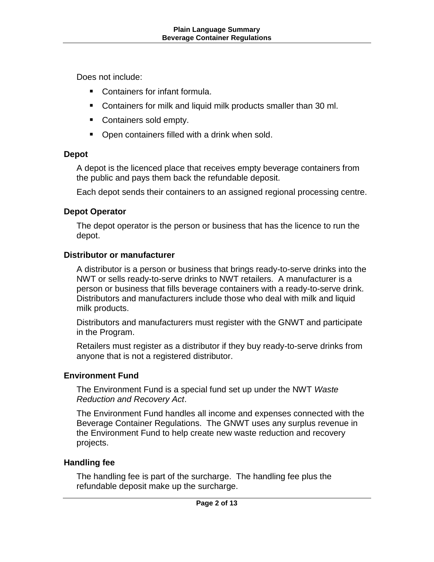Does not include:

- Containers for infant formula.
- **Containers for milk and liquid milk products smaller than 30 ml.**
- Containers sold empty.
- **Open containers filled with a drink when sold.**

### **Depot**

A depot is the licenced place that receives empty beverage containers from the public and pays them back the refundable deposit.

Each depot sends their containers to an assigned regional processing centre.

### **Depot Operator**

The depot operator is the person or business that has the licence to run the depot.

### **Distributor or manufacturer**

A distributor is a person or business that brings ready-to-serve drinks into the NWT or sells ready-to-serve drinks to NWT retailers. A manufacturer is a person or business that fills beverage containers with a ready-to-serve drink. Distributors and manufacturers include those who deal with milk and liquid milk products.

Distributors and manufacturers must register with the GNWT and participate in the Program.

Retailers must register as a distributor if they buy ready-to-serve drinks from anyone that is not a registered distributor.

### **Environment Fund**

The Environment Fund is a special fund set up under the NWT *Waste Reduction and Recovery Act*.

The Environment Fund handles all income and expenses connected with the Beverage Container Regulations. The GNWT uses any surplus revenue in the Environment Fund to help create new waste reduction and recovery projects.

### **Handling fee**

The handling fee is part of the surcharge. The handling fee plus the refundable deposit make up the surcharge.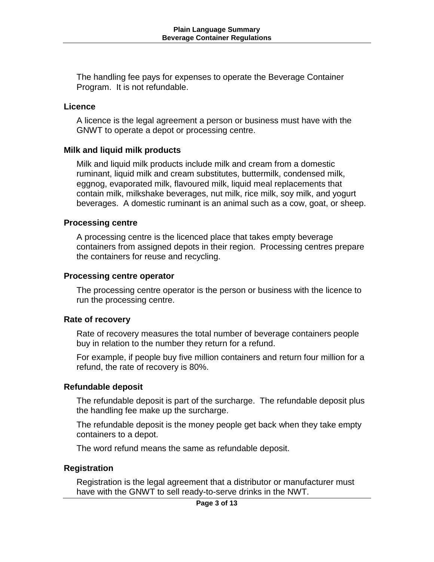The handling fee pays for expenses to operate the Beverage Container Program. It is not refundable.

#### **Licence**

A licence is the legal agreement a person or business must have with the GNWT to operate a depot or processing centre.

#### **Milk and liquid milk products**

Milk and liquid milk products include milk and cream from a domestic ruminant, liquid milk and cream substitutes, buttermilk, condensed milk, eggnog, evaporated milk, flavoured milk, liquid meal replacements that contain milk, milkshake beverages, nut milk, rice milk, soy milk, and yogurt beverages. A domestic ruminant is an animal such as a cow, goat, or sheep.

#### **Processing centre**

A processing centre is the licenced place that takes empty beverage containers from assigned depots in their region. Processing centres prepare the containers for reuse and recycling.

#### **Processing centre operator**

The processing centre operator is the person or business with the licence to run the processing centre.

#### **Rate of recovery**

Rate of recovery measures the total number of beverage containers people buy in relation to the number they return for a refund.

For example, if people buy five million containers and return four million for a refund, the rate of recovery is 80%.

#### **Refundable deposit**

The refundable deposit is part of the surcharge. The refundable deposit plus the handling fee make up the surcharge.

The refundable deposit is the money people get back when they take empty containers to a depot.

The word refund means the same as refundable deposit.

#### **Registration**

Registration is the legal agreement that a distributor or manufacturer must have with the GNWT to sell ready-to-serve drinks in the NWT.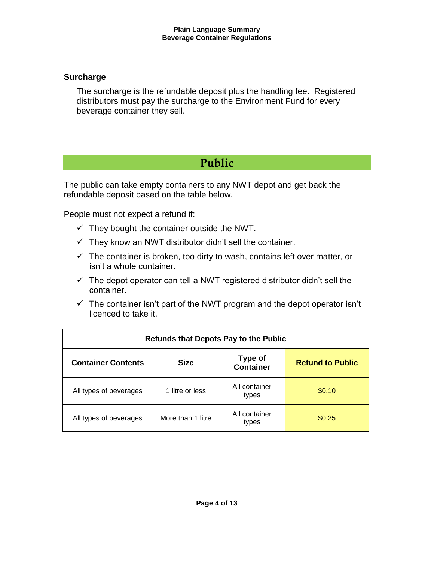#### **Surcharge**

The surcharge is the refundable deposit plus the handling fee. Registered distributors must pay the surcharge to the Environment Fund for every beverage container they sell.

# **Public**

The public can take empty containers to any NWT depot and get back the refundable deposit based on the table below.

People must not expect a refund if:

- $\checkmark$  They bought the container outside the NWT.
- $\checkmark$  They know an NWT distributor didn't sell the container.
- $\checkmark$  The container is broken, too dirty to wash, contains left over matter, or isn't a whole container.
- $\checkmark$  The depot operator can tell a NWT registered distributor didn't sell the container.
- $\checkmark$  The container isn't part of the NWT program and the depot operator isn't licenced to take it.

| <b>Refunds that Depots Pay to the Public</b> |                   |                                    |                         |  |  |  |
|----------------------------------------------|-------------------|------------------------------------|-------------------------|--|--|--|
| <b>Container Contents</b>                    | <b>Size</b>       | <b>Type of</b><br><b>Container</b> | <b>Refund to Public</b> |  |  |  |
| All types of beverages                       | 1 litre or less   | All container<br>types             | \$0.10                  |  |  |  |
| All types of beverages                       | More than 1 litre | All container<br>types             | \$0.25                  |  |  |  |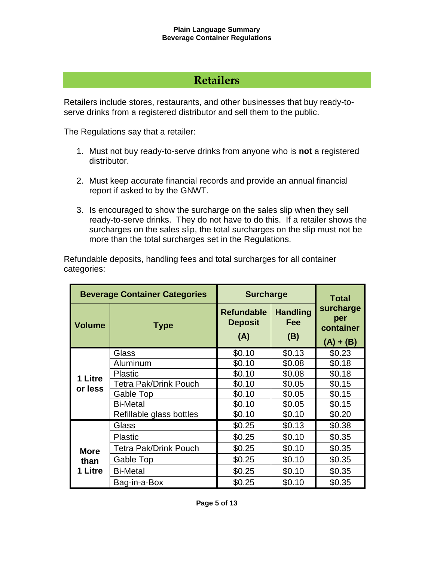## **Retailers**

Retailers include stores, restaurants, and other businesses that buy ready-toserve drinks from a registered distributor and sell them to the public.

The Regulations say that a retailer:

- 1. Must not buy ready-to-serve drinks from anyone who is **not** a registered distributor.
- 2. Must keep accurate financial records and provide an annual financial report if asked to by the GNWT.
- 3. Is encouraged to show the surcharge on the sales slip when they sell ready-to-serve drinks. They do not have to do this. If a retailer shows the surcharges on the sales slip, the total surcharges on the slip must not be more than the total surcharges set in the Regulations.

Refundable deposits, handling fees and total surcharges for all container categories:

| <b>Beverage Container Categories</b> |                              | <b>Surcharge</b>                           |                                      | <b>Total</b>                                 |  |
|--------------------------------------|------------------------------|--------------------------------------------|--------------------------------------|----------------------------------------------|--|
| <b>Volume</b>                        | <b>Type</b>                  | <b>Refundable</b><br><b>Deposit</b><br>(A) | <b>Handling</b><br><b>Fee</b><br>(B) | surcharge<br>per<br>container<br>$(A) + (B)$ |  |
| 1 Litre<br>or less                   | Glass                        | \$0.10                                     | \$0.13                               | \$0.23                                       |  |
|                                      | Aluminum                     | \$0.10                                     | \$0.08                               | \$0.18                                       |  |
|                                      | <b>Plastic</b>               | \$0.10                                     | \$0.08                               | \$0.18                                       |  |
|                                      | <b>Tetra Pak/Drink Pouch</b> | \$0.10                                     | \$0.05                               | \$0.15                                       |  |
|                                      | Gable Top                    | \$0.10                                     | \$0.05                               | \$0.15                                       |  |
|                                      | <b>Bi-Metal</b>              | \$0.10                                     | \$0.05                               | \$0.15                                       |  |
|                                      | Refillable glass bottles     | \$0.10                                     | \$0.10                               | \$0.20                                       |  |
|                                      | Glass                        | \$0.25                                     | \$0.13                               | \$0.38                                       |  |
| <b>More</b><br>than<br>1 Litre       | <b>Plastic</b>               | \$0.25                                     | \$0.10                               | \$0.35                                       |  |
|                                      | <b>Tetra Pak/Drink Pouch</b> | \$0.25                                     | \$0.10                               | \$0.35                                       |  |
|                                      | Gable Top                    | \$0.25                                     | \$0.10                               | \$0.35                                       |  |
|                                      | <b>Bi-Metal</b>              | \$0.25                                     | \$0.10                               | \$0.35                                       |  |
|                                      | Bag-in-a-Box                 | \$0.25                                     | \$0.10                               | \$0.35                                       |  |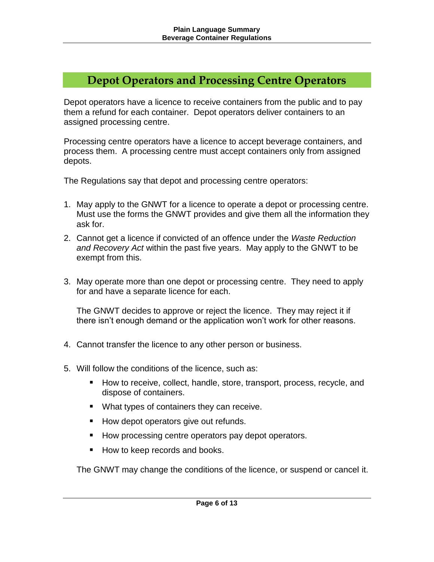## **Depot Operators and Processing Centre Operators**

Depot operators have a licence to receive containers from the public and to pay them a refund for each container. Depot operators deliver containers to an assigned processing centre.

Processing centre operators have a licence to accept beverage containers, and process them. A processing centre must accept containers only from assigned depots.

The Regulations say that depot and processing centre operators:

- 1. May apply to the GNWT for a licence to operate a depot or processing centre. Must use the forms the GNWT provides and give them all the information they ask for.
- 2. Cannot get a licence if convicted of an offence under the *Waste Reduction and Recovery Act* within the past five years. May apply to the GNWT to be exempt from this.
- 3. May operate more than one depot or processing centre. They need to apply for and have a separate licence for each.

The GNWT decides to approve or reject the licence. They may reject it if there isn't enough demand or the application won't work for other reasons.

- 4. Cannot transfer the licence to any other person or business.
- 5. Will follow the conditions of the licence, such as:
	- How to receive, collect, handle, store, transport, process, recycle, and dispose of containers.
	- **What types of containers they can receive.**
	- How depot operators give out refunds.
	- How processing centre operators pay depot operators.
	- How to keep records and books.

The GNWT may change the conditions of the licence, or suspend or cancel it.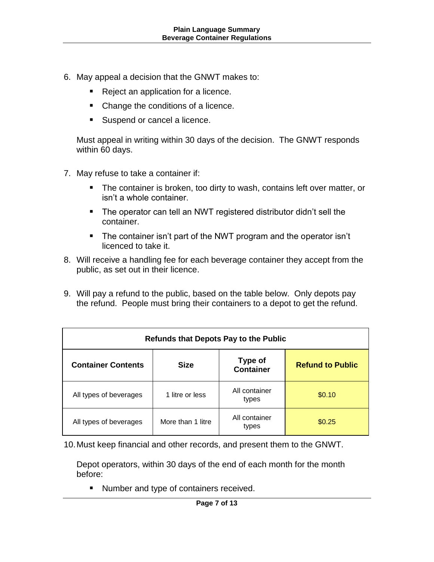- 6. May appeal a decision that the GNWT makes to:
	- Reject an application for a licence.
	- Change the conditions of a licence.
	- Suspend or cancel a licence.

Must appeal in writing within 30 days of the decision. The GNWT responds within 60 days.

- 7. May refuse to take a container if:
	- **The container is broken, too dirty to wash, contains left over matter, or** isn't a whole container.
	- The operator can tell an NWT registered distributor didn't sell the container.
	- The container isn't part of the NWT program and the operator isn't licenced to take it.
- 8. Will receive a handling fee for each beverage container they accept from the public, as set out in their licence.
- 9. Will pay a refund to the public, based on the table below. Only depots pay the refund. People must bring their containers to a depot to get the refund.

| Refunds that Depots Pay to the Public |                   |                                    |                         |  |  |
|---------------------------------------|-------------------|------------------------------------|-------------------------|--|--|
| <b>Container Contents</b>             | <b>Size</b>       | <b>Type of</b><br><b>Container</b> | <b>Refund to Public</b> |  |  |
| All types of beverages                | 1 litre or less   | All container<br>types             | \$0.10                  |  |  |
| All types of beverages                | More than 1 litre | All container<br>types             | \$0.25                  |  |  |

10.Must keep financial and other records, and present them to the GNWT.

Depot operators, within 30 days of the end of each month for the month before:

**Number and type of containers received.**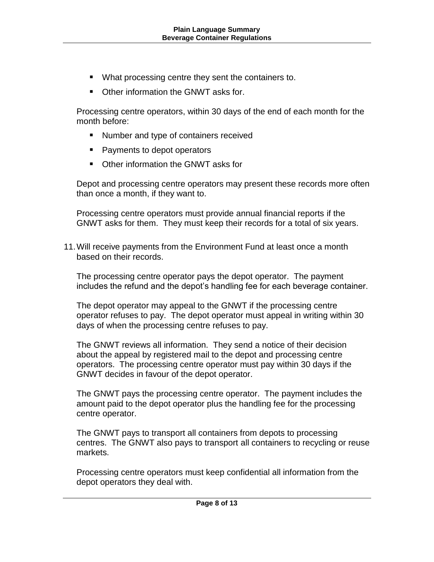- **What processing centre they sent the containers to.**
- Other information the GNWT asks for.

Processing centre operators, within 30 days of the end of each month for the month before:

- **Number and type of containers received**
- Payments to depot operators
- Other information the GNWT asks for

Depot and processing centre operators may present these records more often than once a month, if they want to.

Processing centre operators must provide annual financial reports if the GNWT asks for them. They must keep their records for a total of six years.

11.Will receive payments from the Environment Fund at least once a month based on their records.

The processing centre operator pays the depot operator. The payment includes the refund and the depot's handling fee for each beverage container.

The depot operator may appeal to the GNWT if the processing centre operator refuses to pay. The depot operator must appeal in writing within 30 days of when the processing centre refuses to pay.

The GNWT reviews all information. They send a notice of their decision about the appeal by registered mail to the depot and processing centre operators. The processing centre operator must pay within 30 days if the GNWT decides in favour of the depot operator.

The GNWT pays the processing centre operator. The payment includes the amount paid to the depot operator plus the handling fee for the processing centre operator.

The GNWT pays to transport all containers from depots to processing centres. The GNWT also pays to transport all containers to recycling or reuse markets.

Processing centre operators must keep confidential all information from the depot operators they deal with.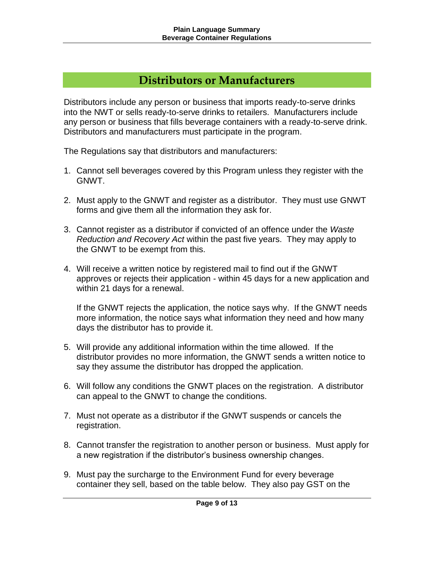## **Distributors or Manufacturers**

Distributors include any person or business that imports ready-to-serve drinks into the NWT or sells ready-to-serve drinks to retailers. Manufacturers include any person or business that fills beverage containers with a ready-to-serve drink. Distributors and manufacturers must participate in the program.

The Regulations say that distributors and manufacturers:

- 1. Cannot sell beverages covered by this Program unless they register with the GNWT.
- 2. Must apply to the GNWT and register as a distributor. They must use GNWT forms and give them all the information they ask for.
- 3. Cannot register as a distributor if convicted of an offence under the *Waste Reduction and Recovery Act* within the past five years. They may apply to the GNWT to be exempt from this.
- 4. Will receive a written notice by registered mail to find out if the GNWT approves or rejects their application - within 45 days for a new application and within 21 days for a renewal.

If the GNWT rejects the application, the notice says why. If the GNWT needs more information, the notice says what information they need and how many days the distributor has to provide it.

- 5. Will provide any additional information within the time allowed. If the distributor provides no more information, the GNWT sends a written notice to say they assume the distributor has dropped the application.
- 6. Will follow any conditions the GNWT places on the registration. A distributor can appeal to the GNWT to change the conditions.
- 7. Must not operate as a distributor if the GNWT suspends or cancels the registration.
- 8. Cannot transfer the registration to another person or business. Must apply for a new registration if the distributor's business ownership changes.
- 9. Must pay the surcharge to the Environment Fund for every beverage container they sell, based on the table below. They also pay GST on the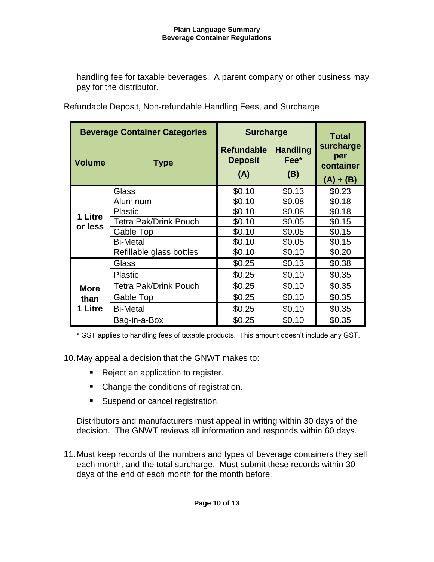handling fee for taxable beverages. A parent company or other business may pay for the distributor.

| <b>Beverage Container Categories</b> |                              | <b>Surcharge</b>                           |                                | <b>Total</b>                                 |  |
|--------------------------------------|------------------------------|--------------------------------------------|--------------------------------|----------------------------------------------|--|
| <b>Volume</b>                        | <b>Type</b>                  | <b>Refundable</b><br><b>Deposit</b><br>(A) | <b>Handling</b><br>Fee*<br>(B) | surcharge<br>per<br>container<br>$(A) + (B)$ |  |
| 1 Litre<br>or less                   | <b>Glass</b>                 | \$0.10                                     | \$0.13                         | \$0.23                                       |  |
|                                      | Aluminum                     | \$0.10                                     | \$0.08                         | \$0.18                                       |  |
|                                      | <b>Plastic</b>               | \$0.10                                     | \$0.08                         | \$0.18                                       |  |
|                                      | <b>Tetra Pak/Drink Pouch</b> | \$0.10                                     | \$0.05                         | \$0.15                                       |  |
|                                      | <b>Gable Top</b>             | \$0.10                                     | \$0.05                         | \$0.15                                       |  |
|                                      | <b>Bi-Metal</b>              | \$0.10                                     | \$0.05                         | \$0.15                                       |  |
|                                      | Refillable glass bottles     | \$0.10                                     | \$0.10                         | \$0.20                                       |  |
|                                      | <b>Glass</b>                 | \$0.25                                     | \$0.13                         | \$0.38                                       |  |
| <b>More</b><br>than<br>1 Litre       | <b>Plastic</b>               | \$0.25                                     | \$0.10                         | \$0.35                                       |  |
|                                      | <b>Tetra Pak/Drink Pouch</b> | \$0.25                                     | \$0.10                         | \$0.35                                       |  |
|                                      | Gable Top                    | \$0.25                                     | \$0.10                         | \$0.35                                       |  |
|                                      | <b>Bi-Metal</b>              | \$0.25                                     | \$0.10                         | \$0.35                                       |  |
|                                      | Bag-in-a-Box                 | \$0.25                                     | \$0.10                         | \$0.35                                       |  |

Refundable Deposit, Non-refundable Handling Fees, and Surcharge

\* GST applies to handling fees of taxable products. This amount doesn't include any GST.

10.May appeal a decision that the GNWT makes to:

- Reject an application to register.
- Change the conditions of registration.
- **Suspend or cancel registration.**

Distributors and manufacturers must appeal in writing within 30 days of the decision. The GNWT reviews all information and responds within 60 days.

11.Must keep records of the numbers and types of beverage containers they sell each month, and the total surcharge. Must submit these records within 30 days of the end of each month for the month before.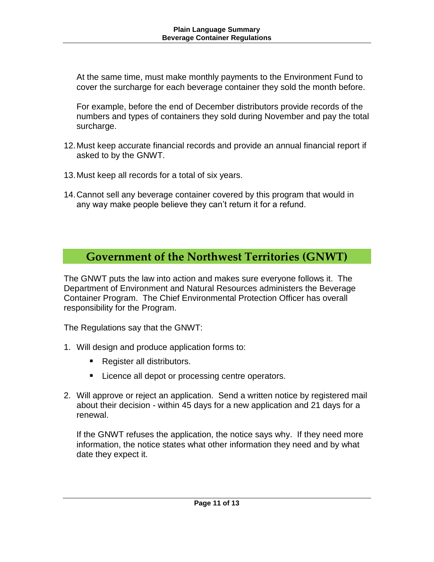At the same time, must make monthly payments to the Environment Fund to cover the surcharge for each beverage container they sold the month before.

For example, before the end of December distributors provide records of the numbers and types of containers they sold during November and pay the total surcharge.

- 12.Must keep accurate financial records and provide an annual financial report if asked to by the GNWT.
- 13.Must keep all records for a total of six years.
- 14.Cannot sell any beverage container covered by this program that would in any way make people believe they can't return it for a refund.

# **Government of the Northwest Territories (GNWT)**

The GNWT puts the law into action and makes sure everyone follows it. The Department of Environment and Natural Resources administers the Beverage Container Program. The Chief Environmental Protection Officer has overall responsibility for the Program.

The Regulations say that the GNWT:

- 1. Will design and produce application forms to:
	- Register all distributors.
	- **Licence all depot or processing centre operators.**
- 2. Will approve or reject an application. Send a written notice by registered mail about their decision - within 45 days for a new application and 21 days for a renewal.

If the GNWT refuses the application, the notice says why. If they need more information, the notice states what other information they need and by what date they expect it.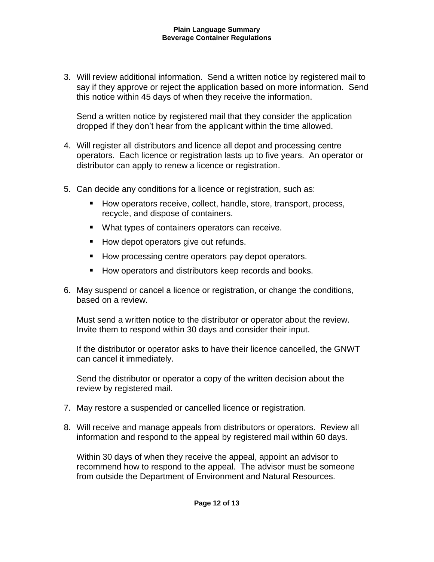3. Will review additional information. Send a written notice by registered mail to say if they approve or reject the application based on more information. Send this notice within 45 days of when they receive the information.

Send a written notice by registered mail that they consider the application dropped if they don't hear from the applicant within the time allowed.

- 4. Will register all distributors and licence all depot and processing centre operators. Each licence or registration lasts up to five years. An operator or distributor can apply to renew a licence or registration.
- 5. Can decide any conditions for a licence or registration, such as:
	- How operators receive, collect, handle, store, transport, process, recycle, and dispose of containers.
	- **What types of containers operators can receive.**
	- How depot operators give out refunds.
	- How processing centre operators pay depot operators.
	- How operators and distributors keep records and books.
- 6. May suspend or cancel a licence or registration, or change the conditions, based on a review.

Must send a written notice to the distributor or operator about the review. Invite them to respond within 30 days and consider their input.

If the distributor or operator asks to have their licence cancelled, the GNWT can cancel it immediately.

Send the distributor or operator a copy of the written decision about the review by registered mail.

- 7. May restore a suspended or cancelled licence or registration.
- 8. Will receive and manage appeals from distributors or operators. Review all information and respond to the appeal by registered mail within 60 days.

Within 30 days of when they receive the appeal, appoint an advisor to recommend how to respond to the appeal. The advisor must be someone from outside the Department of Environment and Natural Resources.